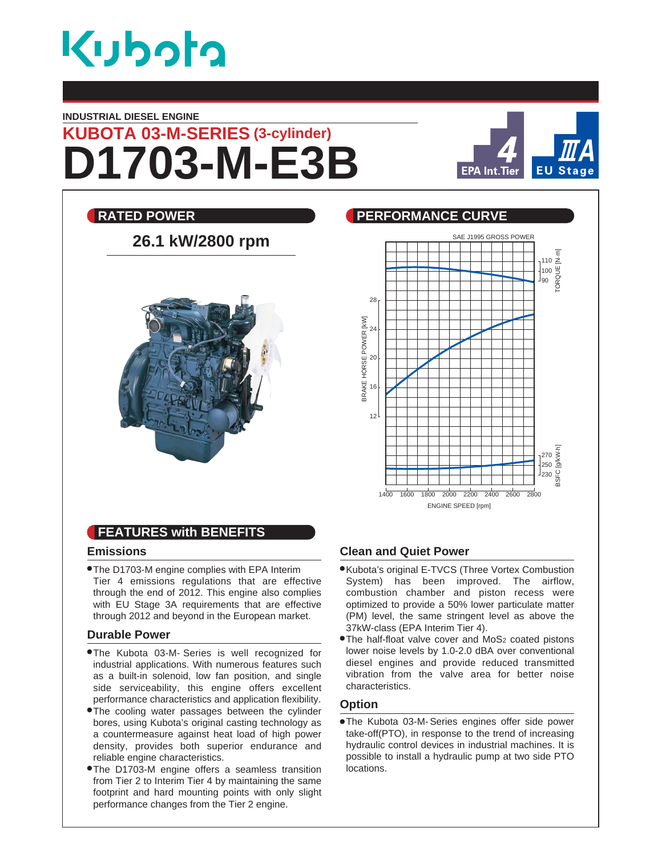

#### **INDUSTRIAL DIESEL ENGINE**

# **D1703-M-E3B KUBOTA 03-M-SERIES (3-cylinder)**



110 TORQUE [N.m]

100 90

## **RATED POWER CURVE REALLY BEEN PERFORMANCE CURVE** SAE J1995 GROSS POWER **26.1 kW/2800 rpm** 28 POWER [kW] BRAKE HORSE POWER [kW] 24 20 BRAKE HORSE 16  $12<sup>12</sup>$



### **FEATURES with BENEFITS**

#### **Emissions**

The D1703-M engine complies with EPA Interim Tier 4 emissions regulations that are effective through the end of 2012. This engine also complies with EU Stage 3A requirements that are effective through 2012 and beyond in the European market.

#### **Durable Power**

- The Kubota 03-M- Series is well recognized for industrial applications. With numerous features such as a built-in solenoid, low fan position, and single side serviceability, this engine offers excellent performance characteristics and application flexibility.
- The cooling water passages between the cylinder bores, using Kubota's original casting technology as a countermeasure against heat load of high power density, provides both superior endurance and reliable engine characteristics.
- The D1703-M engine offers a seamless transition from Tier 2 to Interim Tier 4 by maintaining the same footprint and hard mounting points with only slight performance changes from the Tier 2 engine.

#### **Clean and Quiet Power**

- Kubota's original E-TVCS (Three Vortex Combustion System) has been improved. The airflow, combustion chamber and piston recess were optimized to provide a 50% lower particulate matter (PM) level, the same stringent level as above the 37kW-class (EPA Interim Tier 4).
- **The half-float valve cover and MoS<sub>2</sub> coated pistons** lower noise levels by 1.0-2.0 dBA over conventional diesel engines and provide reduced transmitted vibration from the valve area for better noise characteristics.

#### **Option**

The Kubota 03-M- Series engines offer side power take-off(PTO), in response to the trend of increasing hydraulic control devices in industrial machines. It is possible to install a hydraulic pump at two side PTO locations.